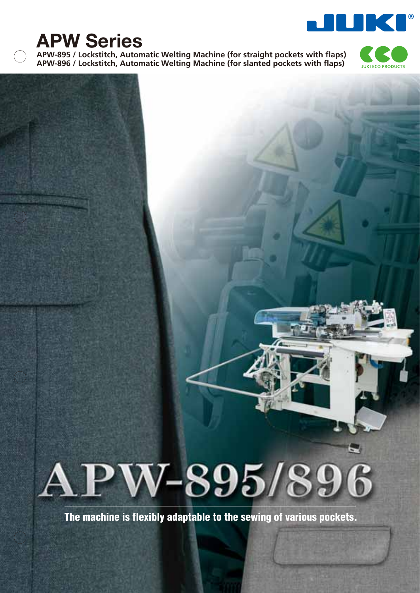

# **APW Series**

**APW-895 / Lockstitch, Automatic Welting Machine (for straight pockets with flaps) APW-896 / Lockstitch, Automatic Welting Machine (for slanted pockets with flaps)**





**The machine is flexibly adaptable to the sewing of various pockets.**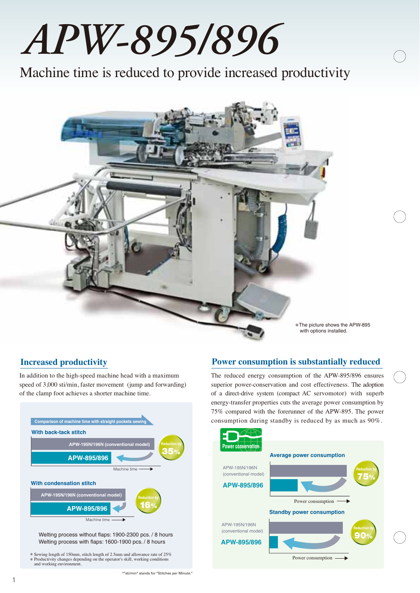# *APW-895/896*

Machine time is reduced to provide increased productivity

\*The picture shows the APW-895 with options installed.

In addition to the high-speed machine head with a maximum speed of 3,000 sti/min, faster movement (jump and forwarding) of the clamp foot achieves a shorter machine time.



\* Sewing length of 150mm, stitch length of 2.5mm and allowance rate of 25% \* Productivity changes depending on the operator's skill, working conditions and working environment.

#### **Increased productivity Power consumption is substantially reduced**

The reduced energy consumption of the APW-895/896 ensures superior power-conservation and cost effectiveness. The adoption of a direct-drive system (compact AC servomotor) with superb energy-transfer properties cuts the average power consumption by 75% compared with the forerunner of the APW-895. The power consumption during standby is reduced by as much as 90%.

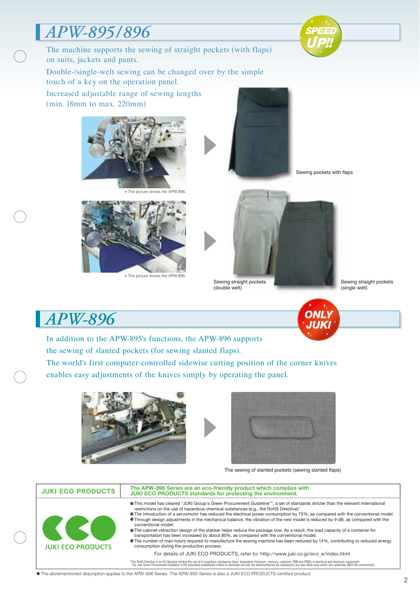## *APW-895/896*









\* The picture shows the APW-895.

Sewing pockets with flaps

Sewing straight pockets (double welt)

Sewing straight pockets (single welt)



## *APW-896*

In addition to the APW-895's functions, the APW-896 supports the sewing of slanted pockets (for sewing slanted flaps).

The world's first computer-controlled sidewise cutting position of the corner knives enables easy adjustments of the knives simply by operating the panel.





The sewing of slanted pockets (sewing slanted flaps)

| <b>JUKI ECO PRODUCTS</b> | The APW-896 Series are an eco-friendly product which complies with<br><b>JUKI ECO PRODUCTS standards for protecting the environment.</b>                                                                                                                                                                                                                                                                                                                                                                                                                                                                                                                                                                                                                                                                                                                                                                                          |
|--------------------------|-----------------------------------------------------------------------------------------------------------------------------------------------------------------------------------------------------------------------------------------------------------------------------------------------------------------------------------------------------------------------------------------------------------------------------------------------------------------------------------------------------------------------------------------------------------------------------------------------------------------------------------------------------------------------------------------------------------------------------------------------------------------------------------------------------------------------------------------------------------------------------------------------------------------------------------|
| <b>JUKI ECO PRODUCTS</b> | This model has cleared "JUKI Group's Green Procurement Guideline"*, a set of standards stricter than the relevant international<br>restrictions on the use of hazardous chemical substances (e.g., the RoHS Directive)*.<br>• The introduction of a servomotor has reduced the electrical power consumption by 75%, as compared with the conventional model.<br>• Through design adjustments in the mechanical balance, the vibration of the new model is reduced by 9 dB, as compared with the<br>conventional model.<br>The cabinet-retraction design of the stacker helps reduce the package size. As a result, the load capacity of a container for<br>transportation has been increased by about 80%, as compared with the conventional model.<br>• The number of man-hours required to manufacture the sewing machine has been reduced by 14%, contributing to reduced energy<br>consumption during the production process. |
|                          | For details of JUKI ECO PRODUCTS, refer to: http://www.juki.co.jp/eco e/index.html                                                                                                                                                                                                                                                                                                                                                                                                                                                                                                                                                                                                                                                                                                                                                                                                                                                |
|                          | *The RoHS Directive is an EU Directive limiting the use of 6 hazardous substances (lead, hexavalent chromium, mercury, cadmium, PBB and PBDE) in electrical and electronic equipment.<br>The Juki Green Procurement Guideline is                                                                                                                                                                                                                                                                                                                                                                                                                                                                                                                                                                                                                                                                                                  |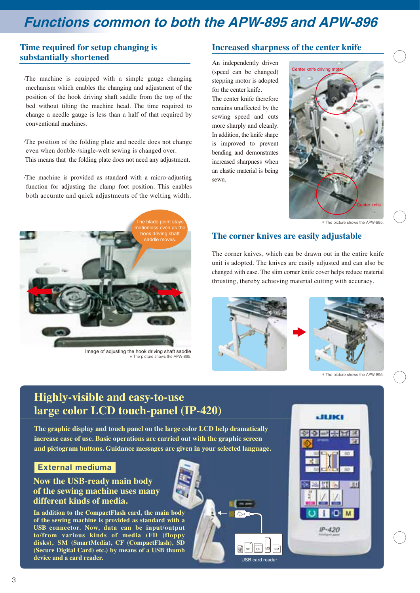## **Functions common to both the APW-895 and APW-896**

#### **Time required for setup changing is substantially shortened**

- .The machine is equipped with a simple gauge changing mechanism which enables the changing and adjustment of the position of the hook driving shaft saddle from the top of the bed without tilting the machine head. The time required to change a needle gauge is less than a half of that required by conventional machines.
- .The position of the folding plate and needle does not change even when double-/single-welt sewing is changed over. This means that the folding plate does not need any adjustment.
- .The machine is provided as standard with a micro-adjusting function for adjusting the clamp foot position. This enables both accurate and quick adjustments of the welting width.



Image of adjusting the hook driving shaft saddle The picture shows the APW-895

#### **Increased sharpness of the center knife**

An independently driven (speed can be changed) stepping motor is adopted for the center knife.

The center knife therefore remains unaffected by the sewing speed and cuts more sharply and cleanly. In addition, the knife shape is improved to prevent bending and demonstrates increased sharpness when an elastic material is being sewn.



\* The picture shows the APW-895.

#### **The corner knives are easily adjustable**

The corner knives, which can be drawn out in the entire knife unit is adopted. The knives are easily adjusted and can also be changed with ease. The slim corner knife cover helps reduce material thrusting, thereby achieving material cutting with accuracy.



 $\mathbb{R}^n$  SD  $||$  CF  $||$  MS  $||$  SM  $\left\lfloor \frac{mn}{SD} \right\rfloor$  SD  $\left\lfloor \frac{C}{CP} \right\rfloor$  MS USB card reade



\* The picture shows the APW-895.

## **Highly-visible and easy-to-use large color LCD touch-panel (IP-420)**

**The graphic display and touch panel on the large color LCD help dramatically increase ease of use. Basic operations are carried out with the graphic screen and pictogram buttons. Guidance messages are given in your selected language.** are given in your selected language.

#### **External mediuma**

**Now the USB-ready main body of the sewing machine uses many different kinds of media.**

In addition to the CompactFlash card, the main body **of the sewing machine is provided as standard with a a** USB connector. Now, data can be input/output **to/from various kinds of media (FD (floppy**  to/from various kinds of media (FD (floppy<br>disks), SM (SmartMedia), CF (CompactFlash), SD (Secure Digital Card) etc.) by means of a USB thumb **device and a card reader.**

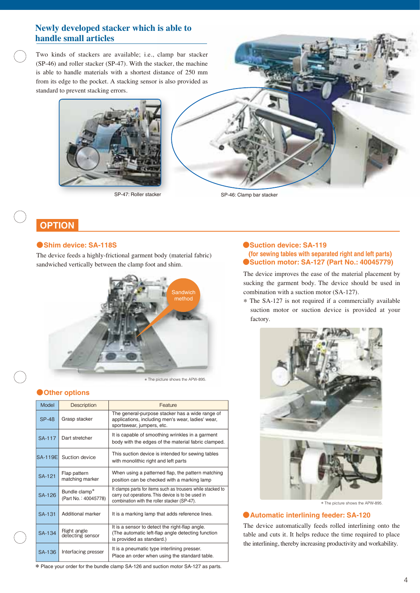#### **Newly developed stacker which is able to handle small articles**

Two kinds of stackers are available; i.e., clamp bar stacker (SP-46) and roller stacker (SP-47). With the stacker, the machine is able to handle materials with a shortest distance of 250 mm from its edge to the pocket. A stacking sensor is also provided as standard to prevent stacking errors.



SP-47: Roller stacker



SP-46: Clamp bar stacker

#### **OPTION**

#### ●**Shim device: SA-118S**

The device feeds a highly-frictional garment body (material fabric) sandwiched vertically between the clamp foot and shim.



\* The picture shows the APW-895.

#### ●**Other options**

| Model          | <b>Description</b>                    | Feature                                                                                                                                                           |
|----------------|---------------------------------------|-------------------------------------------------------------------------------------------------------------------------------------------------------------------|
| <b>SP-48</b>   | Grasp stacker                         | The general-purpose stacker has a wide range of<br>applications, including men's wear, ladies' wear,<br>sportswear, jumpers, etc.                                 |
| SA-117         | Dart stretcher                        | It is capable of smoothing wrinkles in a garment<br>body with the edges of the material fabric clamped.                                                           |
| <b>SA-119E</b> | Suction device                        | This suction device is intended for sewing tables<br>with monolithic right and left parts                                                                         |
| <b>SA-121</b>  | Flap pattern<br>matching marker       | When using a patterned flap, the pattern matching<br>position can be checked with a marking lamp                                                                  |
| SA-126         | Bundle clamp*<br>(Part No.: 40045778) | It clamps parts for items such as trousers while stacked to<br>carry out operations. This device is to be used in<br>combination with the roller stacker (SP-47). |
| SA-131         | Additional marker                     | It is a marking lamp that adds reference lines.                                                                                                                   |
| SA-134         | Right angle<br>detecting sensor       | It is a sensor to detect the right-flap angle.<br>(The automatic left-flap angle detecting function<br>is provided as standard.)                                  |
| <b>SA-136</b>  | Interfacing presser                   | It is a pneumatic type interlining presser.<br>Place an order when using the standard table.                                                                      |

#### ●**Suction device: SA-119 (for sewing tables with separated right and left parts)** ●**Suction motor: SA-127 (Part No.: 40045779)**

The device improves the ease of the material placement by sucking the garment body. The device should be used in combination with a suction motor (SA-127).

\* The SA-127 is not required if a commercially available suction motor or suction device is provided at your factory.



#### ●**Automatic interlining feeder: SA-120**

The device automatically feeds rolled interlining onto the table and cuts it. It helps reduce the time required to place the interlining, thereby increasing productivity and workability.

\* Place your order for the bundle clamp SA-126 and suction motor SA-127 as parts.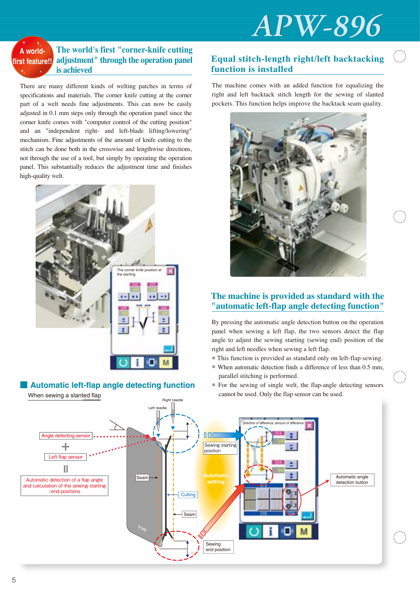

#### **adjustment" through the operation panel is achieved A worldfirst feature!!**

There are many different kinds of welting patches in terms of specifications and materials. The corner knife cutting at the corner part of a welt needs fine adjustments. This can now be easily adjusted in 0.1 mm steps only through the operation panel since the corner knife comes with "computer control of the cutting position" and an "independent right- and left-blade lifting/lowering" mechanism. Fine adjustments of the amount of knife cutting to the stitch can be done both in the crosswise and lengthwise directions, not through the use of a tool, but simply by operating the operation panel. This substantially reduces the adjustment time and finishes high-quality welt.



#### **Automatic left-flap angle detecting function**

#### **Equal stitch-length right/left backtacking function is installed**

The machine comes with an added function for equalizing the right and left backtack stitch length for the sewing of slanted pockets. This function helps improve the backtack seam quality.



#### **The machine is provided as standard with the "automatic left-flap angle detecting function"**

By pressing the automatic angle detection button on the operation panel when sewing a left flap, the two sensors detect the flap angle to adjust the sewing starting (sewing end) position of the right and left needles when sewing a left flap.

- \* This function is provided as standard only on left-flap sewing.
- \* When automatic detection finds a difference of less than 0.5 mm, parallel stitching is performed.
- \* For the sewing of single welt, the flap-angle detecting sensors cannot be used. Only the flap sensor can be used.

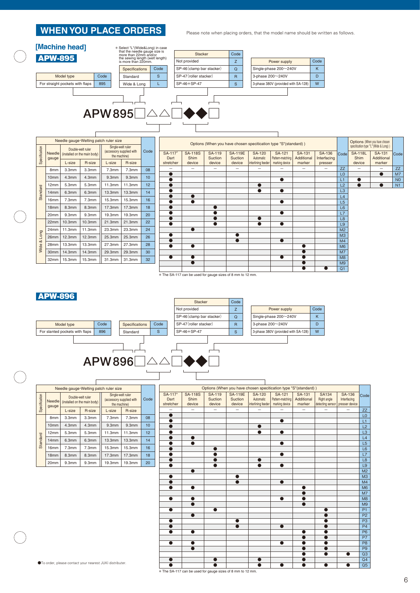#### **WHEN YOU PLACE ORDERS**

Please note when placing orders, that the model name should be written as follows.



| Needle gauge Welting patch ruler size                      |                  |                                                          |                   |              | Options (When you have chosen specitication type "S"(standard)) |    |                          |                                                                                 |         |                          |                    |                   | Options (When you have chosen |             |                                  |                                                        |                   |                                  |
|------------------------------------------------------------|------------------|----------------------------------------------------------|-------------------|--------------|-----------------------------------------------------------------|----|--------------------------|---------------------------------------------------------------------------------|---------|--------------------------|--------------------|-------------------|-------------------------------|-------------|----------------------------------|--------------------------------------------------------|-------------------|----------------------------------|
| Specification                                              |                  | Double-welt ruler<br>Needle (installed on the main body) |                   |              | Single-welt ruler<br>Code<br>(accessory supplied with           |    | SA-117*                  | <b>SA-118S</b><br>SA-119<br>SA-131<br><b>SA-119E</b><br><b>SA-120</b><br>SA-121 |         |                          |                    |                   |                               | SA-136      |                                  | specitication type "L"(Wide & Long))<br><b>SA-118L</b> | SA-131            |                                  |
|                                                            | gauge            |                                                          |                   | the machine) |                                                                 |    | Dart                     | Shim                                                                            | Suction | Suction                  | Automatic          | Pattern-matching  | Additional                    | Interfacing | Code                             | Shim                                                   | Additional        | Code                             |
|                                                            |                  | L-size                                                   | R-size            | L-size       | R-size                                                          |    | stretcher                | device                                                                          | device  | device                   | interlining feeder | marking device    | marker                        | presser     |                                  | device                                                 | marker            |                                  |
|                                                            | 8 <sub>mm</sub>  | 3.3 <sub>mm</sub>                                        | 3.3 <sub>mm</sub> | 7.3mm        | 7.3mm                                                           | 08 | $\overline{\phantom{m}}$ | $\qquad \qquad =$                                                               | -       | $\overline{\phantom{0}}$ | -                  | $\qquad \qquad =$ | $\overline{\phantom{0}}$      | $\equiv$    | <b>ZZ</b>                        |                                                        | $\qquad \qquad -$ | <b>ZZ</b>                        |
|                                                            | 10mm             | 4.3mm                                                    | 4.3mm             | 9.3mm        | 9.3mm                                                           | 10 |                          |                                                                                 |         |                          |                    | $\bullet$         |                               |             | L <sub>0</sub><br>L1             | $\bullet$                                              | $\bullet$         | M <sub>7</sub><br>N <sub>0</sub> |
|                                                            | 12mm             | 5.3mm                                                    | 5.3mm             | 11.3mm       | 11.3mm                                                          | 12 | $\bullet$                |                                                                                 |         |                          |                    |                   |                               |             | L2                               | $\bullet$                                              | $\bullet$         | N <sub>1</sub>                   |
| Standard                                                   | 14mm             | 6.3mm                                                    | 6.3mm             | 13.3mm       | 13.3mm                                                          | 14 |                          |                                                                                 |         |                          | $\bullet$          | $\bullet$         |                               |             | L3                               |                                                        |                   |                                  |
|                                                            | 16mm             | 7.3mm                                                    | 7.3mm             | 15.3mm       | 15.3mm                                                          | 16 |                          | $\bullet$                                                                       |         |                          |                    |                   |                               |             | L4                               |                                                        |                   |                                  |
|                                                            | 18 <sub>mm</sub> | 8.3mm                                                    | 8.3mm             | 17.3mm       | 17.3mm                                                          | 18 | $\bullet$                | $\bullet$                                                                       |         |                          |                    | $\bullet$         |                               |             | L <sub>5</sub><br>L <sub>6</sub> |                                                        |                   |                                  |
|                                                            |                  |                                                          |                   |              |                                                                 |    | $\bullet$                |                                                                                 |         |                          |                    | $\bullet$         |                               |             |                                  |                                                        |                   |                                  |
|                                                            | 20mm             | 9.3mm                                                    | 9.3mm             | 19.3mm       | 19.3mm                                                          | 20 |                          |                                                                                 |         |                          |                    |                   |                               |             | L7                               |                                                        |                   |                                  |
|                                                            | 22mm             | 10.3mm                                                   | 10.3mm            | 21.3mm       | 21.3mm                                                          | 22 | $\bullet$                |                                                                                 | ●       |                          | $\bullet$          | $\bullet$         |                               |             | L <sub>8</sub><br>L <sub>9</sub> |                                                        |                   |                                  |
|                                                            | 24mm             | 11.3mm                                                   | 11.3mm            | 23.3mm       | 23.3mm                                                          | 24 |                          | $\bullet$                                                                       |         |                          |                    |                   |                               |             | M <sub>2</sub>                   |                                                        |                   |                                  |
| Long                                                       | 26mm             | 12.3mm                                                   | 12.3mm            | 25.3mm       | 25.3mm                                                          | 26 |                          |                                                                                 |         | $\bullet$                |                    |                   |                               |             | M <sub>3</sub>                   |                                                        |                   |                                  |
| ∞                                                          | 28mm             | 13.3mm                                                   | 13.3mm            | 27.3mm       | 27.3mm                                                          | 28 |                          |                                                                                 |         | $\bullet$                |                    | $\bullet$         |                               |             | M <sub>4</sub>                   |                                                        |                   |                                  |
| Wide                                                       |                  | 14.3mm                                                   |                   |              | 29.3mm                                                          | 30 | $\bullet$                | $\bullet$                                                                       |         |                          |                    |                   |                               |             | M <sub>6</sub><br>M <sub>7</sub> |                                                        |                   |                                  |
|                                                            | 30mm             |                                                          | 14.3mm            | 29.3mm       |                                                                 |    |                          | $\bullet$                                                                       |         |                          |                    | $\bullet$         |                               |             | M <sub>8</sub>                   |                                                        |                   |                                  |
|                                                            | 32mm             | 15.3mm                                                   | 15.3mm            | 31.3mm       | 31.3mm                                                          | 32 |                          | $\bullet$                                                                       |         |                          |                    |                   |                               |             | M <sub>9</sub>                   |                                                        |                   |                                  |
|                                                            |                  |                                                          |                   |              |                                                                 |    |                          |                                                                                 |         |                          |                    |                   |                               |             | Q <sub>1</sub>                   |                                                        |                   |                                  |
| * The SA-117 can be used for gauge sizes of 8 mm to 12 mm. |                  |                                                          |                   |              |                                                                 |    |                          |                                                                                 |         |                          |                    |                   |                               |             |                                  |                                                        |                   |                                  |

\* The SA-117 can be used for gauge sizes of 8 mm to 12 mm.



| Needle gauge Welting patch ruler size |                                        |                   |                                                                        |        |                                                               |  |  |  |
|---------------------------------------|----------------------------------------|-------------------|------------------------------------------------------------------------|--------|---------------------------------------------------------------|--|--|--|
| Needle                                |                                        |                   |                                                                        | Code   |                                                               |  |  |  |
|                                       | L-size                                 | R-size            | L-size                                                                 | R-size |                                                               |  |  |  |
| 8 <sub>mm</sub>                       | 3.3mm                                  | 3.3 <sub>mm</sub> | 7.3mm                                                                  | 7.3mm  | 08                                                            |  |  |  |
| 10 <sub>mm</sub>                      | 4.3mm                                  | 4.3 <sub>mm</sub> | 9.3mm                                                                  | 9.3mm  | 10                                                            |  |  |  |
| 12mm                                  | 5.3mm                                  | 5.3mm             | 11.3mm                                                                 | 11.3mm | 12                                                            |  |  |  |
| 14mm                                  | 6.3mm                                  | 6.3mm             | 13.3mm                                                                 | 13.3mm | 14                                                            |  |  |  |
| 16mm                                  | 7.3mm                                  | 7.3mm             | 15.3mm                                                                 | 15.3mm | 16                                                            |  |  |  |
| 18 <sub>mm</sub>                      | 8.3mm                                  |                   | 17.3mm                                                                 | 17.3mm | 18                                                            |  |  |  |
| 20mm                                  | 9.3 <sub>mm</sub><br>9.3 <sub>mm</sub> |                   | 19.3mm                                                                 | 19.3mm | 20                                                            |  |  |  |
|                                       | gauge                                  |                   | Double-welt ruler<br>(installed on the main body)<br>8.3 <sub>mm</sub> |        | Single-welt ruler<br>(accessory supplied with<br>the machine) |  |  |  |

| Options (When you have chosen specitication type "S"(standard)) |                                  |                             |                                     |                                                  |                                              |                                       |                                                 |                                                |                 |
|-----------------------------------------------------------------|----------------------------------|-----------------------------|-------------------------------------|--------------------------------------------------|----------------------------------------------|---------------------------------------|-------------------------------------------------|------------------------------------------------|-----------------|
| SA-117*<br>Dart<br>stretcher                                    | <b>SA-118S</b><br>Shim<br>device | SA-119<br>Suction<br>device | <b>SA-119E</b><br>Suction<br>device | <b>SA-120</b><br>Automatic<br>interlining feeder | SA-121<br>Pattern-matching<br>marking device | <b>SA-131</b><br>Additional<br>marker | <b>SA134</b><br>Right angle<br>detecting sensor | <b>SA-136</b><br>Interfacing<br>presser device | Code            |
|                                                                 |                                  |                             |                                     |                                                  |                                              |                                       |                                                 | $\overline{\phantom{0}}$                       | ZZ              |
| ●                                                               |                                  |                             |                                     |                                                  |                                              |                                       |                                                 |                                                | L <sub>0</sub>  |
|                                                                 |                                  |                             |                                     |                                                  |                                              |                                       |                                                 |                                                | L1              |
|                                                                 |                                  |                             |                                     |                                                  |                                              |                                       |                                                 |                                                | L2              |
|                                                                 |                                  |                             |                                     | ●                                                | ●                                            |                                       |                                                 |                                                | L <sub>3</sub>  |
|                                                                 |                                  |                             |                                     |                                                  |                                              |                                       |                                                 |                                                | L4              |
|                                                                 |                                  |                             |                                     |                                                  | a                                            |                                       |                                                 |                                                | L5              |
|                                                                 |                                  |                             |                                     |                                                  |                                              |                                       |                                                 |                                                | L <sub>6</sub>  |
|                                                                 |                                  |                             |                                     |                                                  |                                              |                                       |                                                 |                                                | L7              |
|                                                                 |                                  |                             |                                     | O                                                |                                              |                                       |                                                 |                                                | L <sub>8</sub>  |
| ●                                                               |                                  | $\bullet$                   |                                     | $\bullet$                                        | $\bullet$                                    |                                       |                                                 |                                                | L <sub>9</sub>  |
|                                                                 | ●                                |                             |                                     |                                                  |                                              |                                       |                                                 |                                                | M <sub>2</sub>  |
|                                                                 |                                  |                             |                                     |                                                  |                                              |                                       |                                                 |                                                | M <sub>3</sub>  |
|                                                                 |                                  |                             |                                     |                                                  | ●                                            |                                       |                                                 |                                                | M <sub>4</sub>  |
|                                                                 |                                  |                             |                                     |                                                  |                                              | ●                                     |                                                 |                                                | M <sub>6</sub>  |
|                                                                 |                                  |                             |                                     |                                                  |                                              |                                       |                                                 |                                                | M7              |
|                                                                 |                                  |                             |                                     |                                                  |                                              |                                       |                                                 |                                                | M <sub>8</sub>  |
|                                                                 |                                  |                             |                                     |                                                  |                                              |                                       |                                                 |                                                | M <sub>9</sub>  |
|                                                                 |                                  |                             |                                     |                                                  |                                              |                                       |                                                 |                                                | P <sub>1</sub>  |
|                                                                 |                                  |                             |                                     |                                                  |                                              |                                       |                                                 |                                                | P <sub>2</sub>  |
| ●                                                               |                                  |                             |                                     |                                                  |                                              |                                       |                                                 |                                                | P <sub>3</sub>  |
| $\bullet$                                                       |                                  |                             | ä                                   |                                                  | $\bullet$                                    |                                       |                                                 |                                                | P <sub>4</sub>  |
|                                                                 |                                  |                             |                                     |                                                  |                                              |                                       |                                                 |                                                | P <sub>6</sub>  |
|                                                                 |                                  |                             |                                     |                                                  |                                              |                                       |                                                 |                                                | P7              |
| ●                                                               | ●                                |                             |                                     |                                                  | ●                                            |                                       |                                                 |                                                | P <sub>8</sub>  |
|                                                                 |                                  |                             |                                     |                                                  |                                              |                                       |                                                 |                                                | P <sub>9</sub>  |
|                                                                 |                                  |                             |                                     |                                                  |                                              |                                       |                                                 |                                                | Q <sub>3</sub>  |
|                                                                 |                                  |                             |                                     |                                                  |                                              |                                       |                                                 |                                                | Q <sub>4</sub>  |
|                                                                 |                                  |                             |                                     |                                                  |                                              |                                       |                                                 |                                                | $\overline{Q5}$ |